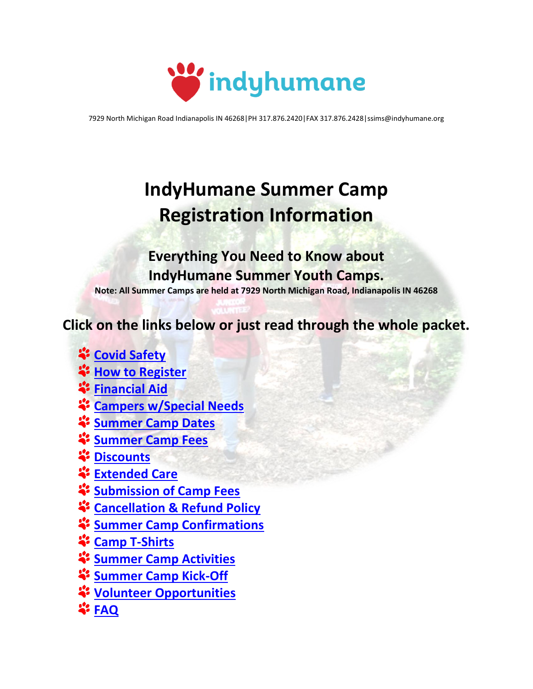

7929 North Michigan Road Indianapolis IN 46268|PH 317.876.2420|FAX 317.876.2428|ssims@indyhumane.org

# **IndyHumane Summer Camp Registration Information**

**Everything You Need to Know about IndyHumane Summer Youth Camps. Note: All Summer Camps are held at 7929 North Michigan Road, Indianapolis IN 46268**

**Click on the links below or just read through the whole packet.**

- **[Covid Safety](#page-1-0)**
- $\ddot{\bullet}$  [How to Register](#page-2-0)
- **[Financial Aid](#page-2-1)**
- **<sup>2</sup>** [Campers w/Special Needs](#page-3-0)
- **[Summer Camp Dates](#page-3-1)**
- **[Summer Camp Fees](#page-3-2)**
- *<u>i*: [Discounts](#page-4-0)</u>
- **[Extended Care](#page-4-1)**
- **[Submission of Camp Fees](#page-4-2)**
- **[Cancellation & Refund Policy](#page-5-0)**
- **[Summer Camp Confirmations](#page-5-1)**
- **[Camp T-Shirts](#page-5-2)**
- **[Summer Camp Activities](#page-5-3)**
- **[Summer Camp Kick-Off](#page-5-4)**
- **[Volunteer Opportunities](#page-5-5)**
- **[FAQ](#page-5-6)**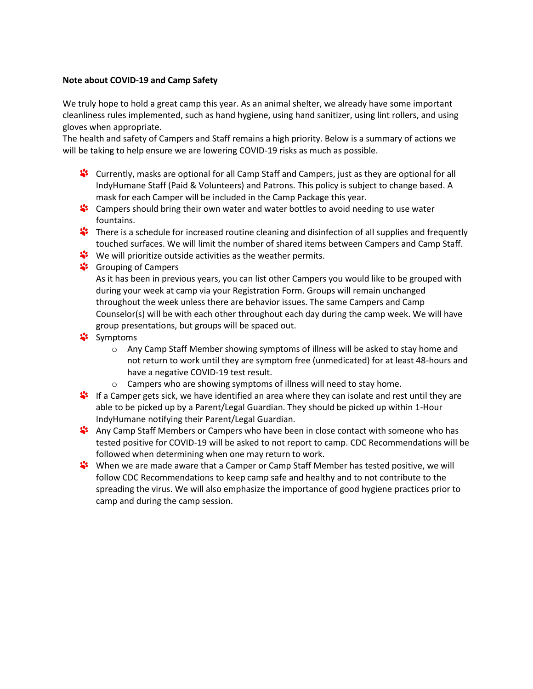## <span id="page-1-0"></span>**Note about COVID-19 and Camp Safety**

We truly hope to hold a great camp this year. As an animal shelter, we already have some important cleanliness rules implemented, such as hand hygiene, using hand sanitizer, using lint rollers, and using gloves when appropriate.

The health and safety of Campers and Staff remains a high priority. Below is a summary of actions we will be taking to help ensure we are lowering COVID-19 risks as much as possible.

- Currently, masks are optional for all Camp Staff and Campers, just as they are optional for all IndyHumane Staff (Paid & Volunteers) and Patrons. This policy is subject to change based. A mask for each Camper will be included in the Camp Package this year.
- \*\* Campers should bring their own water and water bottles to avoid needing to use water fountains.
- There is a schedule for increased routine cleaning and disinfection of all supplies and frequently touched surfaces. We will limit the number of shared items between Campers and Camp Staff.
- We will prioritize outside activities as the weather permits.
- <u></u><sup>4</sup> Grouping of Campers

As it has been in previous years, you can list other Campers you would like to be grouped with during your week at camp via your Registration Form. Groups will remain unchanged throughout the week unless there are behavior issues. The same Campers and Camp Counselor(s) will be with each other throughout each day during the camp week. We will have group presentations, but groups will be spaced out.

- \* Symptoms
	- o Any Camp Staff Member showing symptoms of illness will be asked to stay home and not return to work until they are symptom free (unmedicated) for at least 48-hours and have a negative COVID-19 test result.
	- o Campers who are showing symptoms of illness will need to stay home.
- \* If a Camper gets sick, we have identified an area where they can isolate and rest until they are able to be picked up by a Parent/Legal Guardian. They should be picked up within 1-Hour IndyHumane notifying their Parent/Legal Guardian.
- Any Camp Staff Members or Campers who have been in close contact with someone who has tested positive for COVID-19 will be asked to not report to camp. CDC Recommendations will be followed when determining when one may return to work.
- \*\* When we are made aware that a Camper or Camp Staff Member has tested positive, we will follow CDC Recommendations to keep camp safe and healthy and to not contribute to the spreading the virus. We will also emphasize the importance of good hygiene practices prior to camp and during the camp session.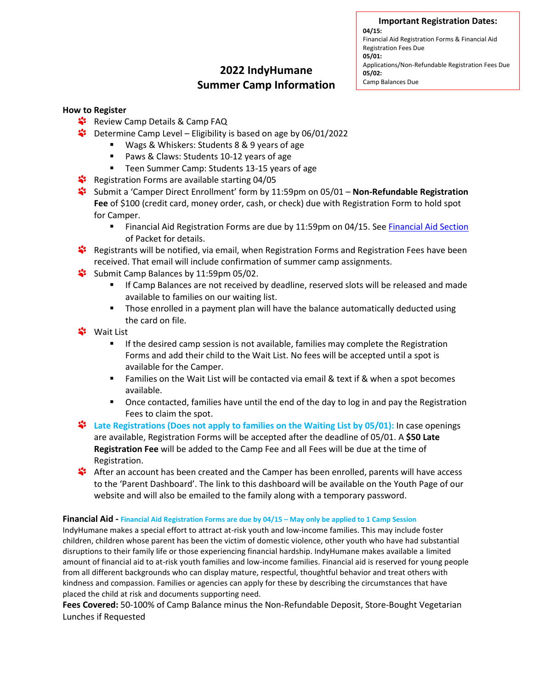**Important Registration Dates:**

**04/15:**  Financial Aid Registration Forms & Financial Aid Registration Fees Due **05/01:**  Applications/Non-Refundable Registration Fees Due **05/02:** Camp Balances Due

# **2022 IndyHumane Summer Camp Information**

## <span id="page-2-0"></span>**How to Register**

- \*\* Review Camp Details & Camp FAQ
- $\ddot{\bullet}$  Determine Camp Level Eligibility is based on age by 06/01/2022
	- Wags & Whiskers: Students 8 & 9 years of age
	- Paws & Claws: Students 10-12 years of age
	- Teen Summer Camp: Students 13-15 years of age
- Registration Forms are available starting 04/05
- Submit a 'Camper Direct Enrollment' form by 11:59pm on 05/01 **Non-Refundable Registration Fee** of \$100 (credit card, money order, cash, or check) due with Registration Form to hold spot for Camper.
	- **E** Financial Aid Registration Forms are due by 11:59pm on 04/15. Se[e Financial Aid Section](#page-2-1) of Packet for details.
- Registrants will be notified, via email, when Registration Forms and Registration Fees have been received. That email will include confirmation of summer camp assignments.
- Submit Camp Balances by 11:59pm 05/02.
	- If Camp Balances are not received by deadline, reserved slots will be released and made available to families on our waiting list.
	- **■** Those enrolled in a payment plan will have the balance automatically deducted using the card on file.
- **\*** Wait List
	- **■** If the desired camp session is not available, families may complete the Registration Forms and add their child to the Wait List. No fees will be accepted until a spot is available for the Camper.
	- Families on the Wait List will be contacted via email & text if & when a spot becomes available.
	- **•** Once contacted, families have until the end of the day to log in and pay the Registration Fees to claim the spot.
- **Late Registrations (Does not apply to families on the Waiting List by 05/01):** In case openings are available, Registration Forms will be accepted after the deadline of 05/01. A **\$50 Late Registration Fee** will be added to the Camp Fee and all Fees will be due at the time of Registration.
- **After an account has been created and the Camper has been enrolled, parents will have access** to the 'Parent Dashboard'. The link to this dashboard will be available on the Youth Page of our website and will also be emailed to the family along with a temporary password.

#### <span id="page-2-1"></span>**Financial Aid - Financial Aid Registration Forms are due by 04/15 – May only be applied to 1 Camp Session**

IndyHumane makes a special effort to attract at-risk youth and low-income families. This may include foster children, children whose parent has been the victim of domestic violence, other youth who have had substantial disruptions to their family life or those experiencing financial hardship. IndyHumane makes available a limited amount of financial aid to at-risk youth families and low-income families. Financial aid is reserved for young people from all different backgrounds who can display mature, respectful, thoughtful behavior and treat others with kindness and compassion. Families or agencies can apply for these by describing the circumstances that have placed the child at risk and documents supporting need.

**Fees Covered:** 50-100% of Camp Balance minus the Non-Refundable Deposit, Store-Bought Vegetarian Lunches if Requested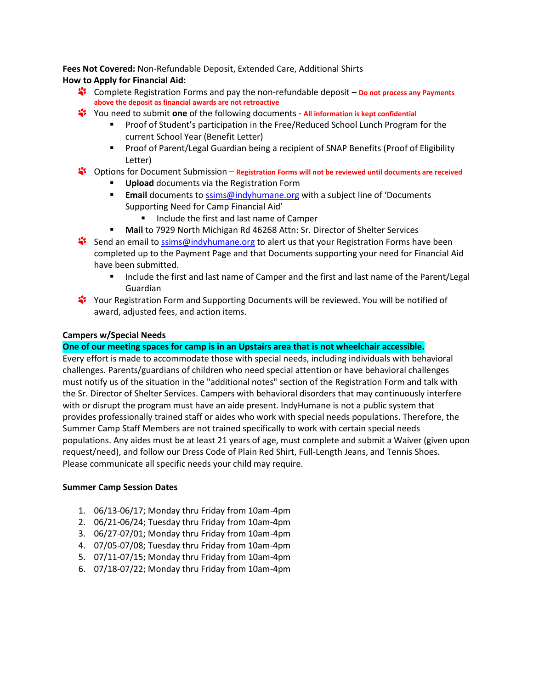**Fees Not Covered:** Non-Refundable Deposit, Extended Care, Additional Shirts **How to Apply for Financial Aid:**

- Complete Registration Forms and pay the non-refundable deposit **Do not process any Payments above the deposit as financial awards are not retroactive**
- You need to submit **one** of the following documents **All information is kept confidential**
	- Proof of Student's participation in the Free/Reduced School Lunch Program for the current School Year (Benefit Letter)
	- Proof of Parent/Legal Guardian being a recipient of SNAP Benefits (Proof of Eligibility Letter)
- Options for Document Submission **Registration Forms will not be reviewed until documents are received**
	- **Upload** documents via the Registration Form
	- **Email** documents to [ssims@indyhumane.org](mailto:ssims@indyhumane.org) with a subject line of 'Documents' Supporting Need for Camp Financial Aid'
		- Include the first and last name of Camper
	- **Mail** to 7929 North Michigan Rd 46268 Attn: Sr. Director of Shelter Services
- Send an email to [ssims@indyhumane.org](mailto:ssims@indyhumane.org) to alert us that your Registration Forms have been completed up to the Payment Page and that Documents supporting your need for Financial Aid have been submitted.
	- Include the first and last name of Camper and the first and last name of the Parent/Legal Guardian
- \*\* Your Registration Form and Supporting Documents will be reviewed. You will be notified of award, adjusted fees, and action items.

## <span id="page-3-0"></span>**Campers w/Special Needs**

## **One of our meeting spaces for camp is in an Upstairs area that is not wheelchair accessible.**

Every effort is made to accommodate those with special needs, including individuals with behavioral challenges. Parents/guardians of children who need special attention or have behavioral challenges must notify us of the situation in the "additional notes" section of the Registration Form and talk with the Sr. Director of Shelter Services. Campers with behavioral disorders that may continuously interfere with or disrupt the program must have an aide present. IndyHumane is not a public system that provides professionally trained staff or aides who work with special needs populations. Therefore, the Summer Camp Staff Members are not trained specifically to work with certain special needs populations. Any aides must be at least 21 years of age, must complete and submit a Waiver (given upon request/need), and follow our Dress Code of Plain Red Shirt, Full-Length Jeans, and Tennis Shoes. Please communicate all specific needs your child may require.

## <span id="page-3-1"></span>**Summer Camp Session Dates**

- 1. 06/13-06/17; Monday thru Friday from 10am-4pm
- 2. 06/21-06/24; Tuesday thru Friday from 10am-4pm
- 3. 06/27-07/01; Monday thru Friday from 10am-4pm
- 4. 07/05-07/08; Tuesday thru Friday from 10am-4pm
- 5. 07/11-07/15; Monday thru Friday from 10am-4pm
- <span id="page-3-2"></span>6. 07/18-07/22; Monday thru Friday from 10am-4pm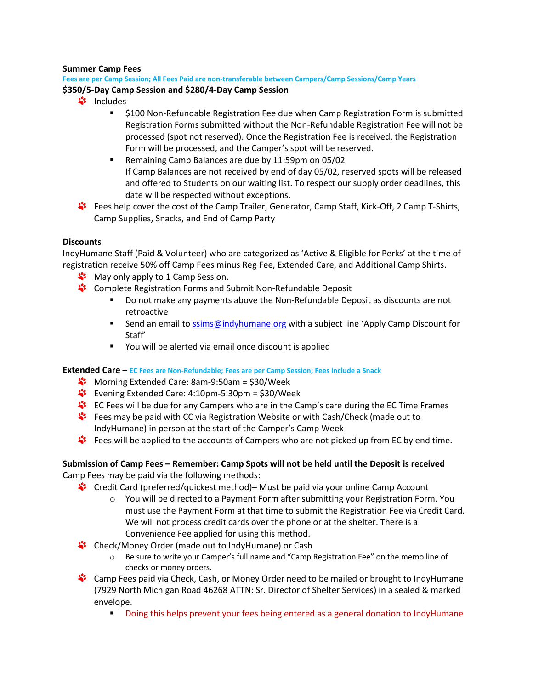## **Summer Camp Fees**

## **Fees are per Camp Session; All Fees Paid are non-transferable between Campers/Camp Sessions/Camp Years \$350/5-Day Camp Session and \$280/4-Day Camp Session**

- <u><sup>■</sup>includes</u>
	- \$100 Non-Refundable Registration Fee due when Camp Registration Form is submitted Registration Forms submitted without the Non-Refundable Registration Fee will not be processed (spot not reserved). Once the Registration Fee is received, the Registration Form will be processed, and the Camper's spot will be reserved.
	- Remaining Camp Balances are due by 11:59pm on 05/02 If Camp Balances are not received by end of day 05/02, reserved spots will be released and offered to Students on our waiting list. To respect our supply order deadlines, this date will be respected without exceptions.
- Fees help cover the cost of the Camp Trailer, Generator, Camp Staff, Kick-Off, 2 Camp T-Shirts, Camp Supplies, Snacks, and End of Camp Party

## <span id="page-4-0"></span>**Discounts**

IndyHumane Staff (Paid & Volunteer) who are categorized as 'Active & Eligible for Perks' at the time of registration receive 50% off Camp Fees minus Reg Fee, Extended Care, and Additional Camp Shirts.

- **W** May only apply to 1 Camp Session.
- \*\* Complete Registration Forms and Submit Non-Refundable Deposit
	- Do not make any payments above the Non-Refundable Deposit as discounts are not retroactive
	- **EXECT** Send an email to [ssims@indyhumane.org](mailto:ssims@indyhumane.org) with a subject line 'Apply Camp Discount for Staff'
	- You will be alerted via email once discount is applied

## <span id="page-4-1"></span>**Extended Care – EC Fees are Non-Refundable; Fees are per Camp Session; Fees include a Snack**

- **<sup>2</sup>** Morning Extended Care: 8am-9:50am = \$30/Week
- $\ddot{\bullet}$  Evening Extended Care: 4:10pm-5:30pm = \$30/Week
- EC Fees will be due for any Campers who are in the Camp's care during the EC Time Frames
- Fees may be paid with CC via Registration Website or with Cash/Check (made out to IndyHumane) in person at the start of the Camper's Camp Week
- Fees will be applied to the accounts of Campers who are not picked up from EC by end time.

## <span id="page-4-2"></span>**Submission of Camp Fees – Remember: Camp Spots will not be held until the Deposit is received** Camp Fees may be paid via the following methods:

- Credit Card (preferred/quickest method)– Must be paid via your online Camp Account
	- $\circ$  You will be directed to a Payment Form after submitting your Registration Form. You must use the Payment Form at that time to submit the Registration Fee via Credit Card. We will not process credit cards over the phone or at the shelter. There is a Convenience Fee applied for using this method.
- \*\* Check/Money Order (made out to IndyHumane) or Cash
	- o Be sure to write your Camper's full name and "Camp Registration Fee" on the memo line of checks or money orders.
- \*\* Camp Fees paid via Check, Cash, or Money Order need to be mailed or brought to IndyHumane (7929 North Michigan Road 46268 ATTN: Sr. Director of Shelter Services) in a sealed & marked envelope.
	- **•** Doing this helps prevent your fees being entered as a general donation to IndyHumane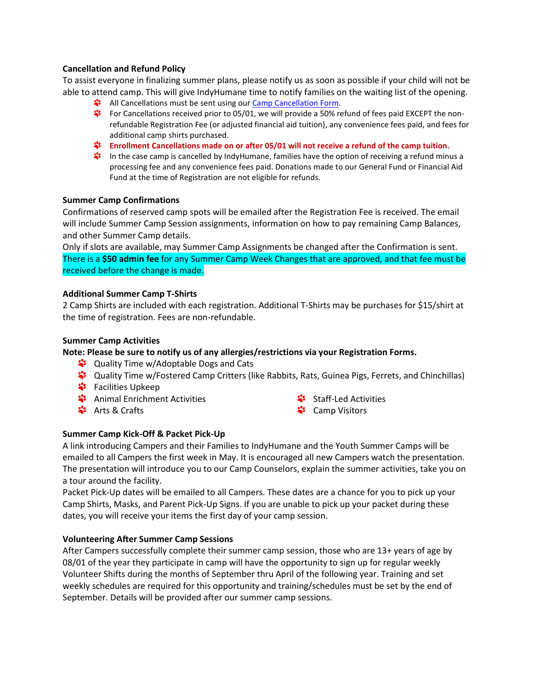## <span id="page-5-0"></span>**Cancellation and Refund Policy**

To assist everyone in finalizing summer plans, please notify us as soon as possible if your child will not be able to attend camp. This will give IndyHumane time to notify families on the waiting list of the opening.

- **All Cancellations must be sent using our [Camp Cancellation Form.](https://indyhumane.wufoo.com/forms/q1p1oxbe0vu7oln/)**
- For Cancellations received prior to 05/01, we will provide a 50% refund of fees paid EXCEPT the nonrefundable Registration Fee (or adjusted financial aid tuition), any convenience fees paid, and fees for additional camp shirts purchased.
- **Enrollment Cancellations made on or after 05/01 will not receive a refund of the camp tuition.**
- In the case camp is cancelled by IndyHumane, families have the option of receiving a refund minus a processing fee and any convenience fees paid. Donations made to our General Fund or Financial Aid Fund at the time of Registration are not eligible for refunds.

## <span id="page-5-1"></span>**Summer Camp Confirmations**

Confirmations of reserved camp spots will be emailed after the Registration Fee is received. The email will include Summer Camp Session assignments, information on how to pay remaining Camp Balances, and other Summer Camp details.

Only if slots are available, may Summer Camp Assignments be changed after the Confirmation is sent. There is a **\$50 admin fee** for any Summer Camp Week Changes that are approved, and that fee must be received before the change is made.

## <span id="page-5-2"></span>**Additional Summer Camp T-Shirts**

2 Camp Shirts are included with each registration. Additional T-Shirts may be purchases for \$15/shirt at the time of registration. Fees are non-refundable.

## <span id="page-5-3"></span>**Summer Camp Activities**

## **Note: Please be sure to notify us of any allergies/restrictions via your Registration Forms.**

- **<sup>2</sup>** Quality Time w/Adoptable Dogs and Cats
- Quality Time w/Fostered Camp Critters (like Rabbits, Rats, Guinea Pigs, Ferrets, and Chinchillas)
- *‡* Facilities Upkeep
- **\*** Animal Enrichment Activities
- Arts & Crafts
- Staff-Led Activities
- Camp Visitors

## <span id="page-5-4"></span>**Summer Camp Kick-Off & Packet Pick-Up**

A link introducing Campers and their Families to IndyHumane and the Youth Summer Camps will be emailed to all Campers the first week in May. It is encouraged all new Campers watch the presentation. The presentation will introduce you to our Camp Counselors, explain the summer activities, take you on a tour around the facility.

Packet Pick-Up dates will be emailed to all Campers. These dates are a chance for you to pick up your Camp Shirts, Masks, and Parent Pick-Up Signs. If you are unable to pick up your packet during these dates, you will receive your items the first day of your camp session.

## <span id="page-5-5"></span>**Volunteering After Summer Camp Sessions**

<span id="page-5-6"></span>After Campers successfully complete their summer camp session, those who are 13+ years of age by 08/01 of the year they participate in camp will have the opportunity to sign up for regular weekly Volunteer Shifts during the months of September thru April of the following year. Training and set weekly schedules are required for this opportunity and training/schedules must be set by the end of September. Details will be provided after our summer camp sessions.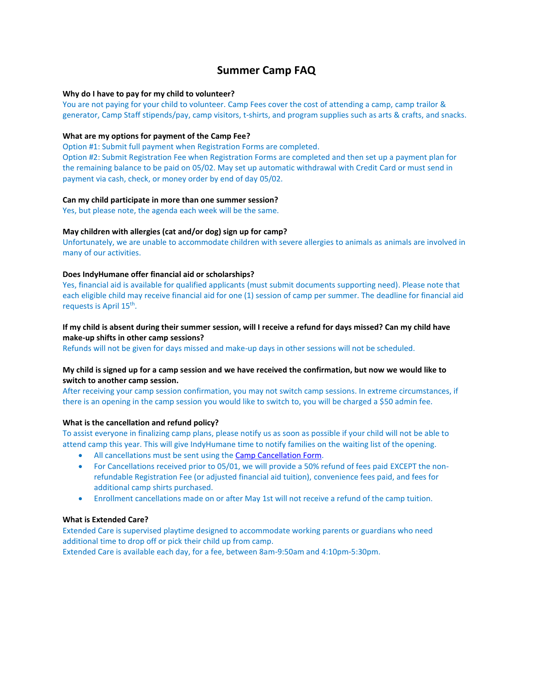## **Summer Camp FAQ**

#### **Why do I have to pay for my child to volunteer?**

You are not paying for your child to volunteer. Camp Fees cover the cost of attending a camp, camp trailor & generator, Camp Staff stipends/pay, camp visitors, t-shirts, and program supplies such as arts & crafts, and snacks.

#### **What are my options for payment of the Camp Fee?**

Option #1: Submit full payment when Registration Forms are completed.

Option #2: Submit Registration Fee when Registration Forms are completed and then set up a payment plan for the remaining balance to be paid on 05/02. May set up automatic withdrawal with Credit Card or must send in payment via cash, check, or money order by end of day 05/02.

#### **Can my child participate in more than one summer session?**

Yes, but please note, the agenda each week will be the same.

#### **May children with allergies (cat and/or dog) sign up for camp?**

Unfortunately, we are unable to accommodate children with severe allergies to animals as animals are involved in many of our activities.

#### **Does IndyHumane offer financial aid or scholarships?**

Yes, financial aid is available for qualified applicants (must submit documents supporting need). Please note that each eligible child may receive financial aid for one (1) session of camp per summer. The deadline for financial aid requests is April 15<sup>th</sup>.

## **If my child is absent during their summer session, will I receive a refund for days missed? Can my child have make-up shifts in other camp sessions?**

Refunds will not be given for days missed and make-up days in other sessions will not be scheduled.

#### **My child is signed up for a camp session and we have received the confirmation, but now we would like to switch to another camp session.**

After receiving your camp session confirmation, you may not switch camp sessions. In extreme circumstances, if there is an opening in the camp session you would like to switch to, you will be charged a \$50 admin fee.

#### **What is the cancellation and refund policy?**

To assist everyone in finalizing camp plans, please notify us as soon as possible if your child will not be able to attend camp this year. This will give IndyHumane time to notify families on the waiting list of the opening.

- All cancellations must be sent using th[e Camp Cancellation Form.](https://indyhumane.wufoo.com/forms/q1p1oxbe0vu7oln/)
- For Cancellations received prior to 05/01, we will provide a 50% refund of fees paid EXCEPT the nonrefundable Registration Fee (or adjusted financial aid tuition), convenience fees paid, and fees for additional camp shirts purchased.
- Enrollment cancellations made on or after May 1st will not receive a refund of the camp tuition.

#### **What is Extended Care?**

Extended Care is supervised playtime designed to accommodate working parents or guardians who need additional time to drop off or pick their child up from camp.

Extended Care is available each day, for a fee, between 8am-9:50am and 4:10pm-5:30pm.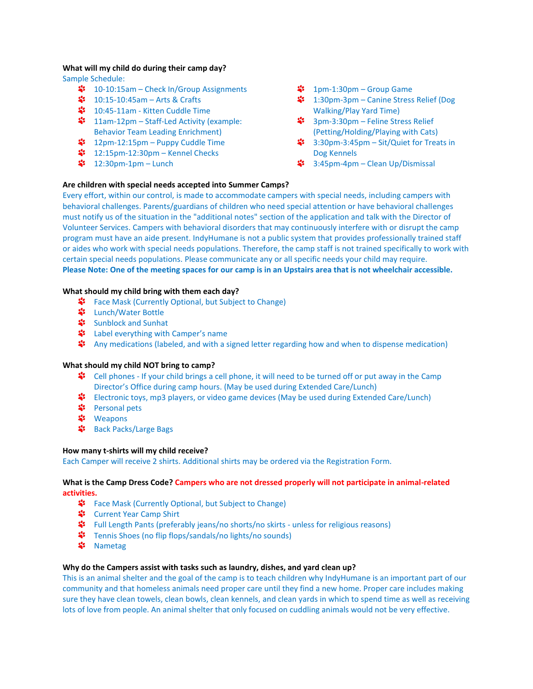#### **What will my child do during their camp day?**

Sample Schedule:

- $\cdot$  10-10:15am Check In/Group Assignments
- 10:15-10:45am Arts & Crafts
- \$ 10:45-11am Kitten Cuddle Time
- $\ddot{\bullet}$  11am-12pm Staff-Led Activity (example: Behavior Team Leading Enrichment)
- $\ddot{\bullet}$  12pm-12:15pm Puppy Cuddle Time
- 12:15pm-12:30pm Kennel Checks
- $\frac{1}{2}$  12:30pm-1pm Lunch
- $\frac{1}{2}$  1pm-1:30pm Group Game
- $\cdot$  1:30pm-3pm Canine Stress Relief (Dog Walking/Play Yard Time)
- $\cdot$  3pm-3:30pm Feline Stress Relief (Petting/Holding/Playing with Cats)
- $\cdot$  3:30pm-3:45pm Sit/Quiet for Treats in Dog Kennels
- **3:45pm-4pm Clean Up/Dismissal**

#### **Are children with special needs accepted into Summer Camps?**

Every effort, within our control, is made to accommodate campers with special needs, including campers with behavioral challenges. Parents/guardians of children who need special attention or have behavioral challenges must notify us of the situation in the "additional notes" section of the application and talk with the Director of Volunteer Services. Campers with behavioral disorders that may continuously interfere with or disrupt the camp program must have an aide present. IndyHumane is not a public system that provides professionally trained staff or aides who work with special needs populations. Therefore, the camp staff is not trained specifically to work with certain special needs populations. Please communicate any or all specific needs your child may require. **Please Note: One of the meeting spaces for our camp is in an Upstairs area that is not wheelchair accessible.** 

## **What should my child bring with them each day?**

- Face Mask (Currently Optional, but Subject to Change)
- **\*** Lunch/Water Bottle
- **;** Sunblock and Sunhat
- \* Label everything with Camper's name
- Any medications (labeled, and with a signed letter regarding how and when to dispense medication)

#### **What should my child NOT bring to camp?**

- **<sup>2</sup>** Cell phones If your child brings a cell phone, it will need to be turned off or put away in the Camp Director's Office during camp hours. (May be used during Extended Care/Lunch)
- Electronic toys, mp3 players, or video game devices (May be used during Extended Care/Lunch)
- **\*** Personal pets
- <u><sup>↓</sup> Weapons</u>
- **\*** Back Packs/Large Bags

#### **How many t-shirts will my child receive?**

Each Camper will receive 2 shirts. Additional shirts may be ordered via the Registration Form.

## **What is the Camp Dress Code? Campers who are not dressed properly will not participate in animal-related activities.**

- Face Mask (Currently Optional, but Subject to Change)
- Current Year Camp Shirt
- \* Full Length Pants (preferably jeans/no shorts/no skirts unless for religious reasons)
- **᠄** Tennis Shoes (no flip flops/sandals/no lights/no sounds)
- $\frac{4}{3}$  Nametag

#### **Why do the Campers assist with tasks such as laundry, dishes, and yard clean up?**

This is an animal shelter and the goal of the camp is to teach children why IndyHumane is an important part of our community and that homeless animals need proper care until they find a new home. Proper care includes making sure they have clean towels, clean bowls, clean kennels, and clean yards in which to spend time as well as receiving lots of love from people. An animal shelter that only focused on cuddling animals would not be very effective.